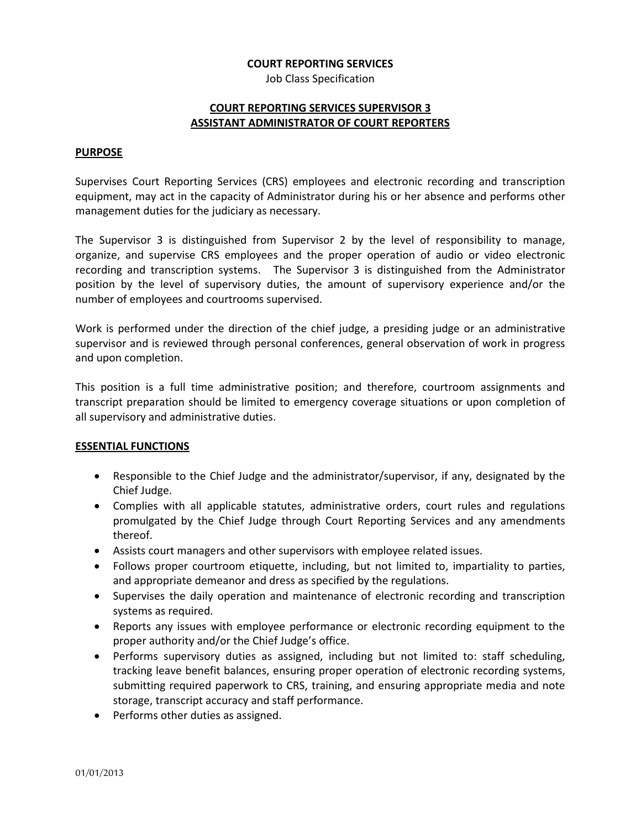#### **COURT REPORTING SERVICES**

Job Class Specification

# **COURT REPORTING SERVICES SUPERVISOR 3 ASSISTANT ADMINISTRATOR OF COURT REPORTERS**

#### **PURPOSE**

Supervises Court Reporting Services (CRS) employees and electronic recording and transcription equipment, may act in the capacity of Administrator during his or her absence and performs other management duties for the judiciary as necessary.

The Supervisor 3 is distinguished from Supervisor 2 by the level of responsibility to manage, organize, and supervise CRS employees and the proper operation of audio or video electronic recording and transcription systems. The Supervisor 3 is distinguished from the Administrator position by the level of supervisory duties, the amount of supervisory experience and/or the number of employees and courtrooms supervised.

Work is performed under the direction of the chief judge, a presiding judge or an administrative supervisor and is reviewed through personal conferences, general observation of work in progress and upon completion.

This position is a full time administrative position; and therefore, courtroom assignments and transcript preparation should be limited to emergency coverage situations or upon completion of all supervisory and administrative duties.

## **ESSENTIAL FUNCTIONS**

- Responsible to the Chief Judge and the administrator/supervisor, if any, designated by the Chief Judge.
- Complies with all applicable statutes, administrative orders, court rules and regulations promulgated by the Chief Judge through Court Reporting Services and any amendments thereof.
- Assists court managers and other supervisors with employee related issues.
- Follows proper courtroom etiquette, including, but not limited to, impartiality to parties, and appropriate demeanor and dress as specified by the regulations.
- Supervises the daily operation and maintenance of electronic recording and transcription systems as required.
- Reports any issues with employee performance or electronic recording equipment to the proper authority and/or the Chief Judge's office.
- Performs supervisory duties as assigned, including but not limited to: staff scheduling, tracking leave benefit balances, ensuring proper operation of electronic recording systems, submitting required paperwork to CRS, training, and ensuring appropriate media and note storage, transcript accuracy and staff performance.
- Performs other duties as assigned.